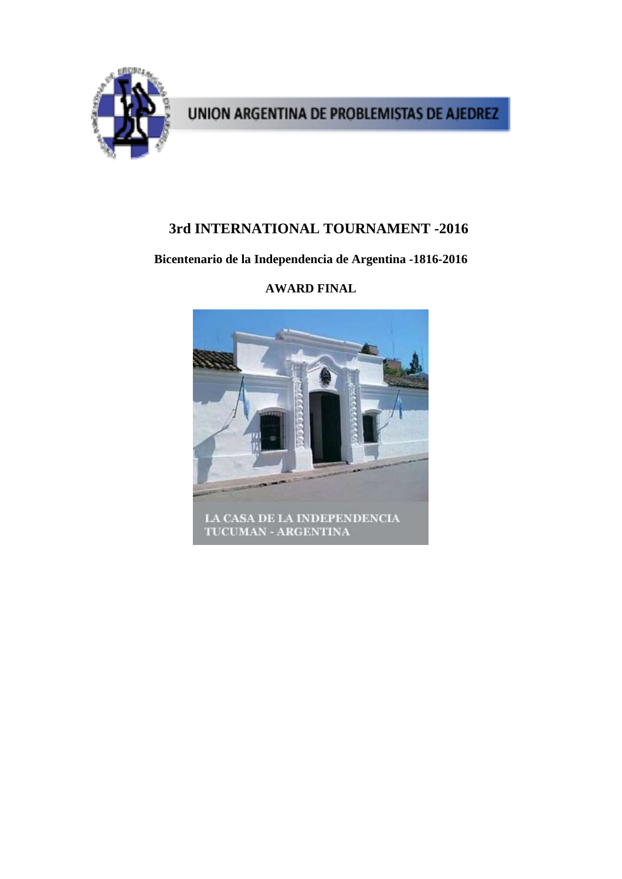

# **3rd INTERNATIONAL TOURNAMENT -2016**

# **Bicentenario de la Independencia de Argentina -1816-2016**



# **AWARD FINAL**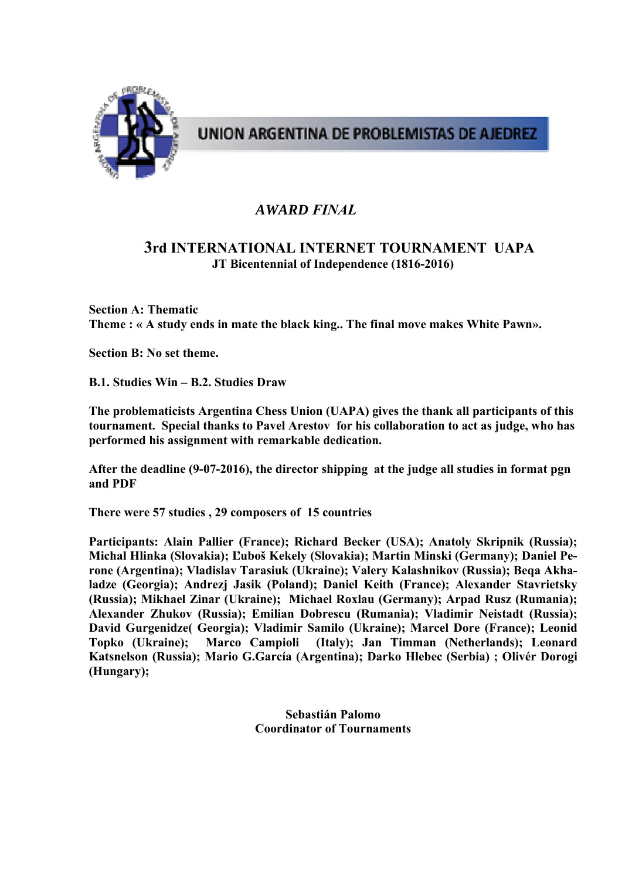

# *AWARD FINAL*

# **3rd INTERNATIONAL INTERNET TOURNAMENT UAPA JT Bicentennial of Independence (1816-2016)**

**Section A: Thematic Theme : « A study ends in mate the black king.. The final move makes White Pawn».**

**Section B: No set theme.** 

**B.1. Studies Win – B.2. Studies Draw** 

**The problematicists Argentina Chess Union (UAPA) gives the thank all participants of this tournament. Special thanks to Pavel Arestov for his collaboration to act as judge, who has performed his assignment with remarkable dedication.** 

**After the deadline (9-07-2016), the director shipping at the judge all studies in format pgn and PDF** 

**There were 57 studies , 29 composers of 15 countries** 

**Participants: Alain Pallier (France); Richard Becker (USA); Anatoly Skripnik (Russia); Michal Hlinka (Slovakia); Ľuboš Kekely (Slovakia); Martin Minski (Germany); Daniel Perone (Argentina); Vladislav Tarasiuk (Ukraine); Valery Kalashnikov (Russia); Beqa Akhaladze (Georgia); Andrezj Jasik (Poland); Daniel Keith (France); Alexander Stavrietsky (Russia); Mikhael Zinar (Ukraine); Michael Roxlau (Germany); Arpad Rusz (Rumania); Alexander Zhukov (Russia); Emilian Dobrescu (Rumania); Vladimir Neistadt (Russia); David Gurgenidze( Georgia); Vladimir Samilo (Ukraine); Marcel Dore (France); Leonid Topko (Ukraine); Marco Campioli (Italy); Jan Timman (Netherlands); Leonard Katsnelson (Russia); Mario G.García (Argentina); Darko Hlebec (Serbia) ; Olivér Dorogi (Hungary);** 

> **Sebastián Palomo Coordinator of Tournaments**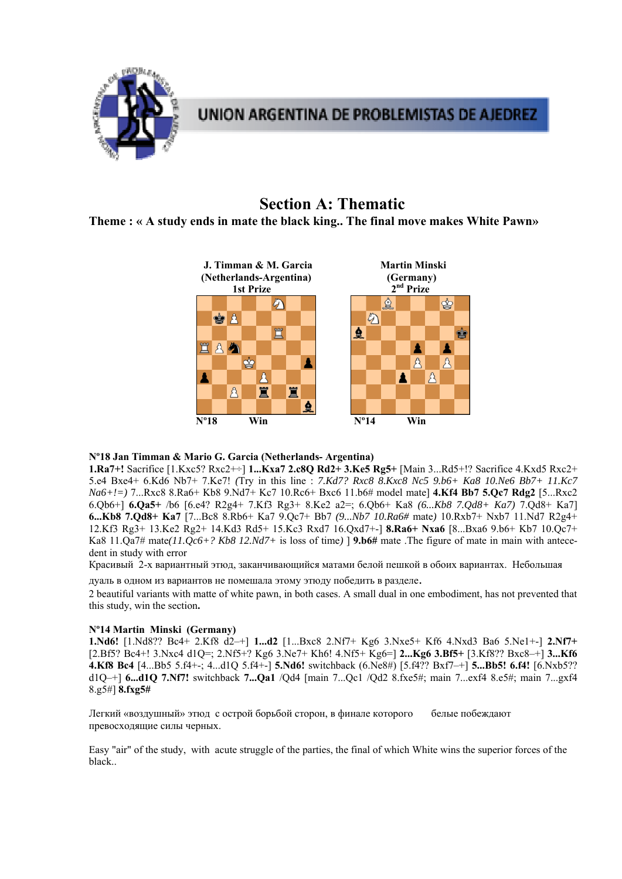

# **Section A: Thematic**

**Theme : « A study ends in mate the black king.. The final move makes White Pawn»**



## **Nº18 Jan Timman & Mario G. Garcia (Netherlands- Argentina)**

**1.Ra7+!** Sacrifice [1.Kxc5? Rxc2+÷] **1...Kxa7 2.c8Q Rd2+ 3.Ke5 Rg5+** [Main 3...Rd5+!? Sacrifice 4.Kxd5 Rxc2+ 5.e4 Bxe4+ 6.Kd6 Nb7+ 7.Ke7! *(*Try in this line : *7.Kd7? Rxc8 8.Kxc8 Nc5 9.b6+ Ka8 10.Ne6 Bb7+ 11.Kc7 Na6+!=)* 7...Rxc8 8.Ra6+ Kb8 9.Nd7+ Kc7 10.Rc6+ Bxc6 11.b6# model mate] **4.Kf4 Bb7 5.Qc7 Rdg2** [5...Rxc2 6.Qb6+] **6.Qa5+** /b6 [6.e4? R2g4+ 7.Kf3 Rg3+ 8.Ke2 a2=; 6.Qb6+ Ka8 *(6...Kb8 7.Qd8+ Ka7)* 7.Qd8+ Ka7] **6...Kb8 7.Qd8+ Ka7** [7...Bc8 8.Rb6+ Ka7 9.Qc7+ Bb7 *(9...Nb7 10.Ra6#* mate*)* 10.Rxb7+ Nxb7 11.Nd7 R2g4+ 12.Kf3 Rg3+ 13.Ke2 Rg2+ 14.Kd3 Rd5+ 15.Kc3 Rxd7 16.Qxd7+-] **8.Ra6+ Nxa6** [8...Bxa6 9.b6+ Kb7 10.Qc7+ Ka8 11.Qa7# mate*(11.Qc6+? Kb8 12.Nd7+* is loss of time*)* ] **9.b6#** mate .The figure of mate in main with antecedent in study with error

Красивый 2-х вариантный этюд, заканчивающийся матами белой пешкой в обоих вариантах. Небольшая

дуаль в одном из вариантов не помешала этому этюду победить в разделе.<br>2 beautiful variants with matte of white pawn, in both cases. A small dual in one embodiment, has not prevented that this study, win the section**.** 

## **Nº14 Martin Minski (Germany)**

**1.Nd6!** [1.Nd8?? Bc4+ 2.Kf8 d2–+] **1...d2** [1...Bxc8 2.Nf7+ Kg6 3.Nxe5+ Kf6 4.Nxd3 Ba6 5.Ne1+-] **2.Nf7+**  [2.Bf5? Bc4+! 3.Nxc4 d1Q=; 2.Nf5+? Kg6 3.Ne7+ Kh6! 4.Nf5+ Kg6=] **2...Kg6 3.Bf5+** [3.Kf8?? Bxc8–+] **3...Kf6 4.Kf8 Bc4** [4...Bb5 5.f4+-; 4...d1Q 5.f4+-] **5.Nd6!** switchback (6.Ne8#) [5.f4?? Bxf7–+] **5...Bb5! 6.f4!** [6.Nxb5?? d1Q–+] **6...d1Q 7.Nf7!** switchback **7...Qa1** /Qd4 [main 7...Qc1 /Qd2 8.fxe5#; main 7...exf4 8.e5#; main 7...gxf4 8.g5#] **8.fxg5#** 

Легкий «воздушный» этюд c острой борьбой сторон, в финале которого белые побеждают превосходящие силы черных.

Easy "air" of the study, with acute struggle of the parties, the final of which White wins the superior forces of the black..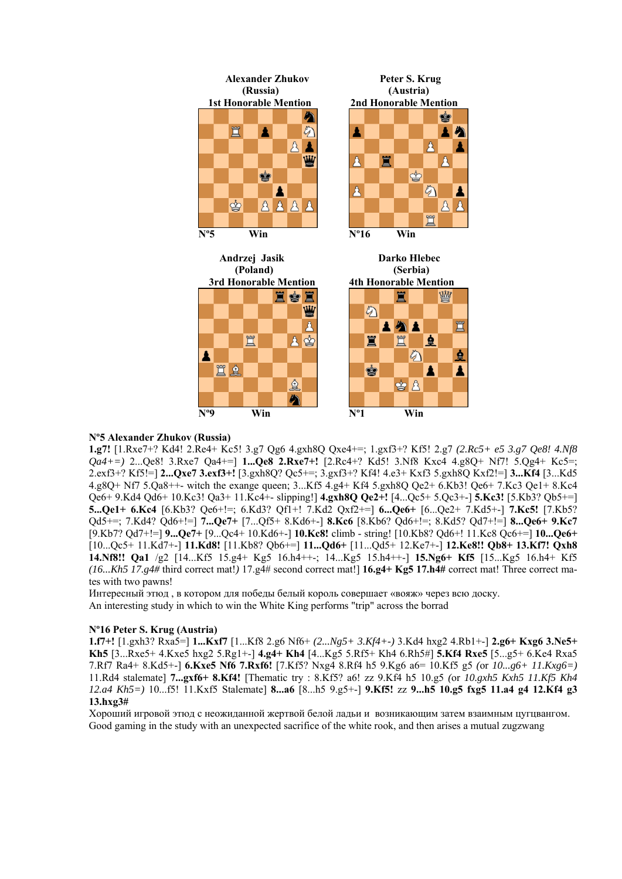

#### **Nº5 Alexander Zhukov (Russia)**

**1.g7!** [1.Rxe7+? Kd4! 2.Re4+ Kc5! 3.g7 Qg6 4.gxh8Q Qxe4+=; 1.gxf3+? Kf5! 2.g7 *(2.Rc5+ e5 3.g7 Qe8! 4.Nf8 Qa4+=)* 2...Qe8! 3.Rxe7 Qa4+=] **1...Qe8 2.Rxe7+!** [2.Rc4+? Kd5! 3.Nf8 Kxc4 4.g8Q+ Nf7! 5.Qg4+ Kc5=; 2.exf3+? Kf5!=] **2...Qxe7 3.exf3+!** [3.gxh8Q? Qc5+=; 3.gxf3+? Kf4! 4.e3+ Kxf3 5.gxh8Q Kxf2!=] **3...Kf4** [3...Kd5 4.g8Q+ Nf7 5.Qa8++- witch the exange queen; 3...Kf5 4.g4+ Kf4 5.gxh8Q Qe2+ 6.Kb3! Qe6+ 7.Kc3 Qe1+ 8.Kc4 Qe6+ 9.Kd4 Qd6+ 10.Kc3! Qa3+ 11.Kc4+- slipping!] **4.gxh8Q Qe2+!** [4...Qc5+ 5.Qc3+-] **5.Kc3!** [5.Kb3? Qb5+=] **5...Qe1+ 6.Kc4** [6.Kb3? Qe6+!=; 6.Kd3? Qf1+! 7.Kd2 Qxf2+=] **6...Qe6+** [6...Qe2+ 7.Kd5+-] **7.Kc5!** [7.Kb5? Qd5+=; 7.Kd4? Qd6+!=] **7...Qe7+** [7...Qf5+ 8.Kd6+-] **8.Kc6** [8.Kb6? Qd6+!=; 8.Kd5? Qd7+!=] **8...Qe6+ 9.Kc7**  [9.Kb7? Qd7+!=] **9...Qe7+** [9...Qc4+ 10.Kd6+-] **10.Kc8!** climb - string! [10.Kb8? Qd6+! 11.Kc8 Qc6+=] **10...Qe6+**  [10...Qc5+ 11.Kd7+-] **11.Kd8!** [11.Kb8? Qb6+=] **11...Qd6+** [11...Qd5+ 12.Ke7+-] **12.Ke8!! Qb8+ 13.Kf7! Qxh8 14.Nf8!! Qa1** /g2 [14...Kf5 15.g4+ Kg5 16.h4++-; 14...Kg5 15.h4++-] **15.Ng6+ Kf5** [15...Kg5 16.h4+ Kf5 *(16...Kh5 17.g4#* third correct mat!*)* 17.g4# second correct mat!] **16.g4+ Kg5 17.h4#** correct mat! Three correct mates with two pawns!

Интересный этюд , в котором для победы белый король совершает «вояж» через всю доску. An interesting study in which to win the White King performs "trip" across the borrad

## **Nº16 Peter S. Krug (Austria)**

**1.f7+!** [1.gxh3? Rxa5=] **1...Kxf7** [1...Kf8 2.g6 Nf6+ *(2...Ng5+ 3.Kf4+-)* 3.Kd4 hxg2 4.Rb1+-] **2.g6+ Kxg6 3.Ne5+ Kh5** [3...Rxe5+ 4.Kxe5 hxg2 5.Rg1+-] **4.g4+ Kh4** [4...Kg5 5.Rf5+ Kh4 6.Rh5#] **5.Kf4 Rxe5** [5...g5+ 6.Ke4 Rxa5 7.Rf7 Ra4+ 8.Kd5+-] **6.Kxe5 Nf6 7.Rxf6!** [7.Kf5? Nxg4 8.Rf4 h5 9.Kg6 a6= 10.Kf5 g5 *(*or *10...g6+ 11.Kxg6=)*  11.Rd4 stalemate] **7...gxf6+ 8.Kf4!** [Thematic try : 8.Kf5? a6! zz 9.Kf4 h5 10.g5 *(*or *10.gxh5 Kxh5 11.Kf5 Kh4 12.a4 Kh5=)* 10...f5! 11.Kxf5 Stalemate] **8...a6** [8...h5 9.g5+-] **9.Kf5!** zz **9...h5 10.g5 fxg5 11.a4 g4 12.Kf4 g3 13.hxg3#**

Хороший игровой этюд с неожиданной жертвой белой ладьи и возникающим затем взаимным цугцвангом. Good gaming in the study with an unexpected sacrifice of the white rook, and then arises a mutual zugzwang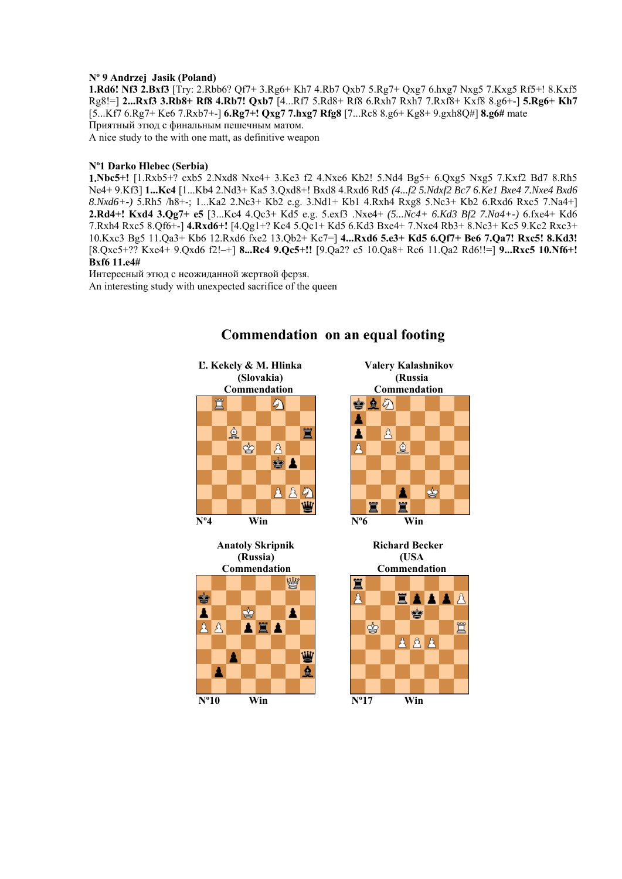### **Nº 9 Andrzej Jasik (Poland)**

**1.Rd6! Nf3 2.Bxf3** [Try: 2.Rbb6? Qf7+ 3.Rg6+ Kh7 4.Rb7 Qxb7 5.Rg7+ Qxg7 6.hxg7 Nxg5 7.Kxg5 Rf5+! 8.Kxf5 Rg8!=] **2...Rxf3 3.Rb8+ Rf8 4.Rb7! Qxb7** [4...Rf7 5.Rd8+ Rf8 6.Rxh7 Rxh7 7.Rxf8+ Kxf8 8.g6+-] **5.Rg6+ Kh7**  [5...Kf7 6.Rg7+ Ke6 7.Rxb7+-] **6.Rg7+! Qxg7 7.hxg7 Rfg8** [7...Rc8 8.g6+ Kg8+ 9.gxh8Q#] **8.g6#** mate Приятный этюд с финальным пешечным матом. A nice study to the with one matt, as definitive weapon

### **Nº1 Darko Hlebec (Serbia)**

**1.Nbc5+!** [1.Rxb5+? cxb5 2.Nxd8 Nxe4+ 3.Ke3 f2 4.Nxe6 Kb2! 5.Nd4 Bg5+ 6.Qxg5 Nxg5 7.Kxf2 Bd7 8.Rh5 Ne4+ 9.Kf3] **1...Kc4** [1...Kb4 2.Nd3+ Ka5 3.Qxd8+! Bxd8 4.Rxd6 Rd5 *(4...f2 5.Ndxf2 Bc7 6.Ke1 Bxe4 7.Nxe4 Bxd6 8.Nxd6+-)* 5.Rh5 /h8+-; 1...Ka2 2.Nc3+ Kb2 e.g. 3.Nd1+ Kb1 4.Rxh4 Rxg8 5.Nc3+ Kb2 6.Rxd6 Rxc5 7.Na4+] **2.Rd4+! Kxd4 3.Qg7+ e5** [3...Kc4 4.Qc3+ Kd5 e.g. 5.exf3 .Nxe4+ *(5...Nc4+ 6.Kd3 Bf2 7.Na4+-)* 6.fxe4+ Kd6 7.Rxh4 Rxc5 8.Qf6+-] **4.Rxd6+!** [4.Qg1+? Kc4 5.Qc1+ Kd5 6.Kd3 Bxe4+ 7.Nxe4 Rb3+ 8.Nc3+ Kc5 9.Kc2 Rxc3+ 10.Kxc3 Bg5 11.Qa3+ Kb6 12.Rxd6 fxe2 13.Qb2+ Kc7=] **4...Rxd6 5.e3+ Kd5 6.Qf7+ Be6 7.Qa7! Rxc5! 8.Kd3!** [8.Qxc5+?? Kxe4+ 9.Qxd6 f2!–+] **8...Rc4 9.Qc5+!!** [9.Qa2? c5 10.Qa8+ Rc6 11.Qa2 Rd6!!=] **9...Rxc5 10.Nf6+! Bxf6 11.e4#** 

Интересный этюд с неожиданной жертвой ферзя. An interesting study with unexpected sacrifice of the queen







Ë Å EAAAA ė ġ 買  $282$ 

# **Commendation on an equal footing**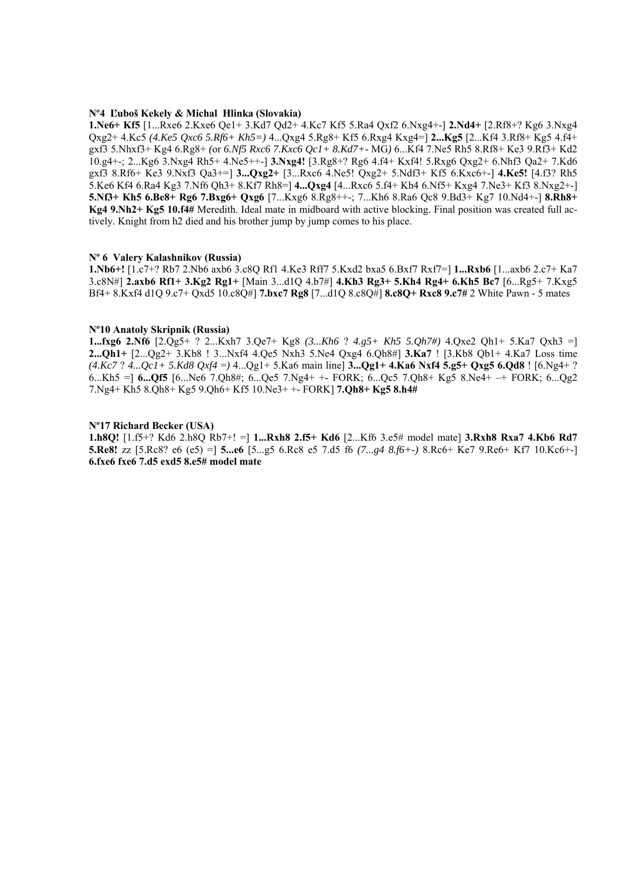#### **Nº4 Ľuboš Kekely & Michal Hlinka (Slovakia)**

**1.Ne6+ Kf5** [1...Rxe6 2.Kxe6 Qe1+ 3.Kd7 Qd2+ 4.Kc7 Kf5 5.Ra4 Qxf2 6.Nxg4+-] **2.Nd4+** [2.Rf8+? Kg6 3.Nxg4 Qxg2+ 4.Kc5 *(4.Ke5 Qxc6 5.Rf6+ Kh5=)* 4...Qxg4 5.Rg8+ Kf5 6.Rxg4 Kxg4=] **2...Kg5** [2...Kf4 3.Rf8+ Kg5 4.f4+ gxf3 5.Nhxf3+ Kg4 6.Rg8+ *(*or *6.Nf5 Rxc6 7.Kxc6 Qc1+ 8.Kd7+-* MG*)* 6...Kf4 7.Ne5 Rh5 8.Rf8+ Ke3 9.Rf3+ Kd2 10.g4+-; 2...Kg6 3.Nxg4 Rh5+ 4.Ne5++-] **3.Nxg4!** [3.Rg8+? Rg6 4.f4+ Kxf4! 5.Rxg6 Qxg2+ 6.Nhf3 Qa2+ 7.Kd6 gxf3 8.Rf6+ Ke3 9.Nxf3 Qa3+=] **3...Qxg2+** [3...Rxc6 4.Ne5! Qxg2+ 5.Ndf3+ Kf5 6.Kxc6+-] **4.Ke5!** [4.f3? Rh5 5.Ke6 Kf4 6.Ra4 Kg3 7.Nf6 Qh3+ 8.Kf7 Rh8=] **4...Qxg4** [4...Rxc6 5.f4+ Kh4 6.Nf5+ Kxg4 7.Ne3+ Kf3 8.Nxg2+-] **5.Nf3+ Kh5 6.Be8+ Rg6 7.Bxg6+ Qxg6** [7...Kxg6 8.Rg8++-; 7...Kh6 8.Ra6 Qc8 9.Bd3+ Kg7 10.Nd4+-] **8.Rh8+ Kg4 9.Nh2+ Kg5 10.f4#** Meredith. Ideal mate in midboard with active blocking. Final position was created full actively. Knight from h2 died and his brother jump by jump comes to his place.

#### **Nº 6 Valery Kalashnikov (Russia)**

**1.Nb6+!** [1.c7+? Rb7 2.Nb6 axb6 3.c8Q Rf1 4.Ke3 Rff7 5.Kxd2 bxa5 6.Bxf7 Rxf7=] **1...Rxb6** [1...axb6 2.c7+ Ka7 3.c8N#] **2.axb6 Rf1+ 3.Kg2 Rg1+** [Main 3...d1Q 4.b7#] **4.Kh3 Rg3+ 5.Kh4 Rg4+ 6.Kh5 Bc7** [6...Rg5+ 7.Kxg5 Bf4+ 8.Kxf4 d1Q 9.c7+ Qxd5 10.c8Q#] **7.bxc7 Rg8** [7...d1Q 8.c8Q#] **8.c8Q+ Rxc8 9.c7#** 2 White Pawn - 5 mates

#### **Nº10 Anatoly Skripnik (Russia)**

**1...fxg6 2.Nf6** [2.Qg5+ ? 2...Kxh7 3.Qe7+ Kg8 *(3...Kh6* ? *4.g5+ Kh5 5.Qh7#)* 4.Qxe2 Qh1+ 5.Ka7 Qxh3 =] **2...Qh1+** [2...Qg2+ 3.Kb8 ! 3...Nxf4 4.Qe5 Nxh3 5.Ne4 Qxg4 6.Qh8#] **3.Ka7** ! [3.Kb8 Qb1+ 4.Ka7 Loss time *(4.Kc7* ? *4...Qc1+ 5.Kd8 Qxf4* =*)* 4...Qg1+ 5.Ka6 main line] **3...Qg1+ 4.Ka6 Nxf4 5.g5+ Qxg5 6.Qd8** ! [6.Ng4+ ? 6...Kh5 =] **6...Qf5** [6...Ne6 7.Qh8#; 6...Qe5 7.Ng4+ +- FORK; 6...Qc5 7.Qh8+ Kg5 8.Ne4+ –+ FORK; 6...Qg2 7.Ng4+ Kh5 8.Qh8+ Kg5 9.Qh6+ Kf5 10.Ne3+ +- FORK] **7.Qh8+ Kg5 8.h4#** 

#### **Nº17 Richard Becker (USA)**

**1.h8Q!** [1.f5+? Kd6 2.h8Q Rb7+! =] **1...Rxh8 2.f5+ Kd6** [2...Kf6 3.e5# model mate] **3.Rxh8 Rxa7 4.Kb6 Rd7 5.Re8!** zz [5.Rc8? e6 (e5) =] **5...e6** [5...g5 6.Rc8 e5 7.d5 f6 *(7...g4 8.f6+-)* 8.Rc6+ Ke7 9.Re6+ Kf7 10.Kc6+-] **6.fxe6 fxe6 7.d5 exd5 8.e5# model mate**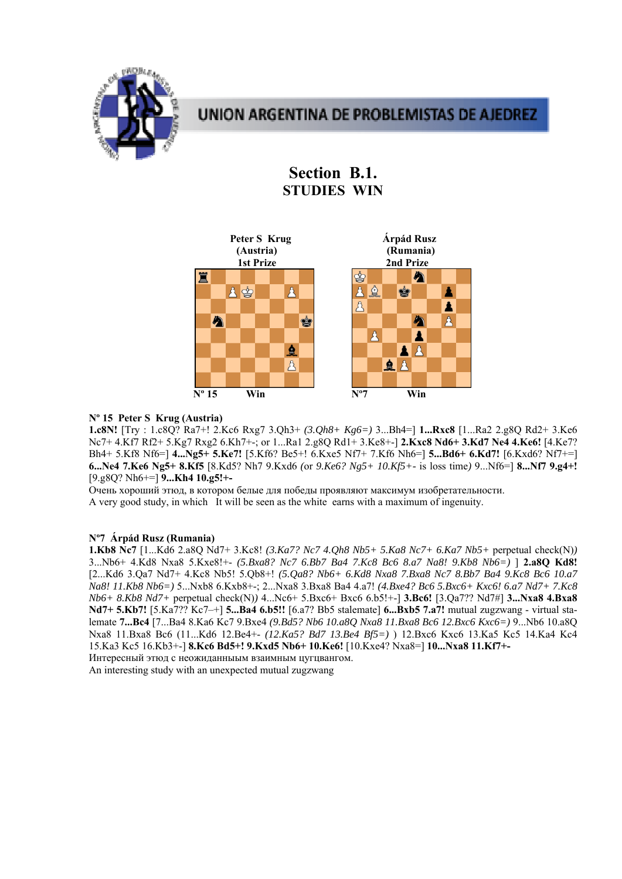

# **Section B.1. STUDIES WIN**



## **Nº 15 Peter S Krug (Austria)**

**1.c8N!** [Try : 1.c8Q? Ra7+! 2.Kc6 Rxg7 3.Qh3+ *(3.Qh8+ Kg6=)* 3...Bh4=] **1...Rxc8** [1...Ra2 2.g8Q Rd2+ 3.Ke6 Nc7+ 4.Kf7 Rf2+ 5.Kg7 Rxg2 6.Kh7+-; or 1...Ra1 2.g8Q Rd1+ 3.Ke8+-] **2.Kxc8 Nd6+ 3.Kd7 Ne4 4.Ke6!** [4.Ke7? Bh4+ 5.Kf8 Nf6=] **4...Ng5+ 5.Ke7!** [5.Kf6? Be5+! 6.Kxe5 Nf7+ 7.Kf6 Nh6=] **5...Bd6+ 6.Kd7!** [6.Kxd6? Nf7+=] **6...Ne4 7.Ke6 Ng5+ 8.Kf5** [8.Kd5? Nh7 9.Kxd6 *(*or *9.Ke6? Ng5+ 10.Kf5+-* is loss time*)* 9...Nf6=] **8...Nf7 9.g4+!**  [9.g8Q? Nh6+=] **9...Kh4 10.g5!+-**

Очень хороший этюд, в котором белые для победы проявляют максимум изобретательности.

A very good study, in which It will be seen as the white earns with a maximum of ingenuity.

# **Nº7 Árpád Rusz (Rumania)**

**1.Kb8 Nc7** [1...Kd6 2.a8Q Nd7+ 3.Kc8! *(3.Ka7? Nc7 4.Qh8 Nb5+ 5.Ka8 Nc7+ 6.Ka7 Nb5+* perpetual check(N)*)* 3...Nb6+ 4.Kd8 Nxa8 5.Kxe8!+- *(5.Bxa8? Nc7 6.Bb7 Ba4 7.Kc8 Bc6 8.a7 Na8! 9.Kb8 Nb6=)* ] **2.a8Q Kd8!**  [2...Kd6 3.Qa7 Nd7+ 4.Kc8 Nb5! 5.Qb8+! *(5.Qa8? Nb6+ 6.Kd8 Nxa8 7.Bxa8 Nc7 8.Bb7 Ba4 9.Kc8 Bc6 10.a7 Na8! 11.Kb8 Nb6=)* 5...Nxb8 6.Kxb8+-; 2...Nxa8 3.Bxa8 Ba4 4.a7! *(4.Bxe4? Bc6 5.Bxc6+ Kxc6! 6.a7 Nd7+ 7.Kc8 Nb6+ 8.Kb8 Nd7+* perpetual check(N)*)* 4...Nc6+ 5.Bxc6+ Bxc6 6.b5!+-] **3.Bc6!** [3.Qa7?? Nd7#] **3...Nxa8 4.Bxa8 Nd7+ 5.Kb7!** [5.Ka7?? Kc7–+] **5...Ba4 6.b5!!** [6.a7? Bb5 stalemate] **6...Bxb5 7.a7!** mutual zugzwang - virtual stalemate **7...Bc4** [7...Ba4 8.Ka6 Kc7 9.Bxe4 *(9.Bd5? Nb6 10.a8Q Nxa8 11.Bxa8 Bc6 12.Bxc6 Kxc6=)* 9...Nb6 10.a8Q Nxa8 11.Bxa8 Bc6 (11...Kd6 12.Be4+- *(12.Ka5? Bd7 13.Be4 Bf5=)* ) 12.Bxc6 Kxc6 13.Ka5 Kc5 14.Ka4 Kc4 15.Ka3 Kc5 16.Kb3+-] **8.Kc6 Bd5+! 9.Kxd5 Nb6+ 10.Ke6!** [10.Kxe4? Nxa8=] **10...Nxa8 11.Kf7+-**

Интересный этюд с неожиданныым взаимным цугцвангом. An interesting study with an unexpected mutual zugzwang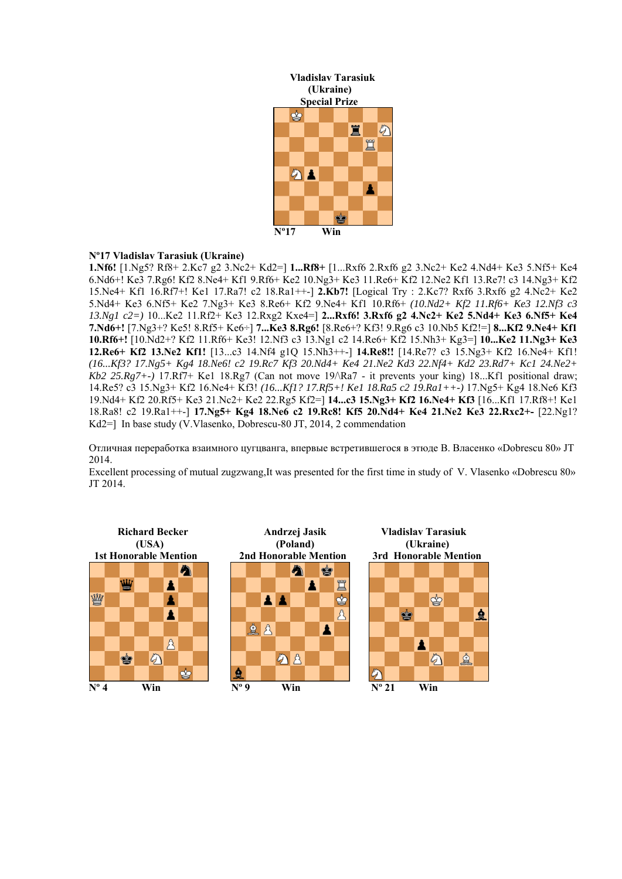

# **Nº17 Vladislav Tarasiuk (Ukraine)**

**1.Nf6!** [1.Ng5? Rf8+ 2.Kc7 g2 3.Nc2+ Kd2=] **1...Rf8+** [1...Rxf6 2.Rxf6 g2 3.Nc2+ Ke2 4.Nd4+ Ke3 5.Nf5+ Ke4 6.Nd6+! Ke3 7.Rg6! Kf2 8.Ne4+ Kf1 9.Rf6+ Ke2 10.Ng3+ Ke3 11.Re6+ Kf2 12.Ne2 Kf1 13.Re7! c3 14.Ng3+ Kf2 15.Ne4+ Kf1 16.Rf7+! Ke1 17.Ra7! c2 18.Ra1++-] **2.Kb7!** [Logical Try : 2.Kc7? Rxf6 3.Rxf6 g2 4.Nc2+ Ke2 5.Nd4+ Ke3 6.Nf5+ Ke2 7.Ng3+ Ke3 8.Re6+ Kf2 9.Ne4+ Kf1 10.Rf6+ *(10.Nd2+ Kf2 11.Rf6+ Ke3 12.Nf3 c3 13.Ng1 c2=)* 10...Ke2 11.Rf2+ Ke3 12.Rxg2 Kxe4=] **2...Rxf6! 3.Rxf6 g2 4.Nc2+ Ke2 5.Nd4+ Ke3 6.Nf5+ Ke4 7.Nd6+!** [7.Ng3+? Ke5! 8.Rf5+ Ke6÷] **7...Ke3 8.Rg6!** [8.Re6+? Kf3! 9.Rg6 c3 10.Nb5 Kf2!=] **8...Kf2 9.Ne4+ Kf1 10.Rf6+!** [10.Nd2+? Kf2 11.Rf6+ Ke3! 12.Nf3 c3 13.Ng1 c2 14.Re6+ Kf2 15.Nh3+ Kg3=] **10...Ke2 11.Ng3+ Ke3 12.Re6+ Kf2 13.Ne2 Kf1!** [13...c3 14.Nf4 g1Q 15.Nh3++-] **14.Re8!!** [14.Re7? c3 15.Ng3+ Kf2 16.Ne4+ Kf1! *(16...Kf3? 17.Ng5+ Kg4 18.Ne6! c2 19.Rc7 Kf3 20.Nd4+ Ke4 21.Ne2 Kd3 22.Nf4+ Kd2 23.Rd7+ Kc1 24.Ne2+ Kb2 25.Rg7+-)* 17.Rf7+ Ke1 18.Rg7 (Can not move 19/\Ra7 - it prevents your king) 18...Kf1 positional draw; 14.Re5? c3 15.Ng3+ Kf2 16.Ne4+ Kf3! *(16...Kf1? 17.Rf5+! Ke1 18.Ra5 c2 19.Ra1++-)* 17.Ng5+ Kg4 18.Ne6 Kf3 19.Nd4+ Kf2 20.Rf5+ Ke3 21.Nc2+ Ke2 22.Rg5 Kf2=] **14...c3 15.Ng3+ Kf2 16.Ne4+ Kf3** [16...Kf1 17.Rf8+! Ke1 18.Ra8! c2 19.Ra1++-] **17.Ng5+ Kg4 18.Ne6 c2 19.Rc8! Kf5 20.Nd4+ Ke4 21.Ne2 Ke3 22.Rxc2+-** [22.Ng1? Kd2=] In base study (V.Vlasenko, Dobrescu-80 JT, 2014, 2 commendation

Отличная переработка взаимного цугцванга, впервые встретившегося в этюде В. Власенко «Dobrescu 80» JT 2014.

Excellent processing of mutual zugzwang,It was presented for the first time in study of V. Vlasenko «Dobrescu 80» JT 2014.

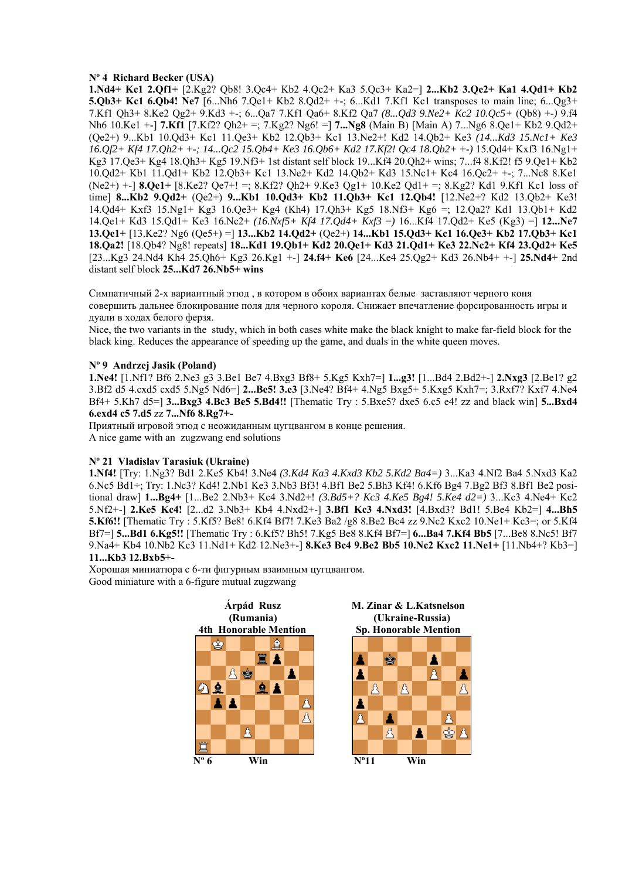## **Nº 4 Richard Becker (USA)**

**1.Nd4+ Kc1 2.Qf1+** [2.Kg2? Qb8! 3.Qc4+ Kb2 4.Qc2+ Ka3 5.Qc3+ Ka2=] **2...Kb2 3.Qe2+ Ka1 4.Qd1+ Kb2 5.Qb3+ Kc1 6.Qb4! Ne7** [6...Nh6 7.Qe1+ Kb2 8.Qd2+ +-; 6...Kd1 7.Kf1 Kc1 transposes to main line; 6...Qg3+ 7.Kf1 Qh3+ 8.Ke2 Qg2+ 9.Kd3 +-; 6...Qa7 7.Kf1 Qa6+ 8.Kf2 Qa7 *(8...Qd3 9.Ne2+ Kc2 10.Qc5+* (Qb8) +-*)* 9.f4 Nh6 10.Ke1 +-] **7.Kf1** [7.Kf2? Qh2+ =; 7.Kg2? Ng6! =] **7...Ng8** (Main B) [Main A) 7...Ng6 8.Qe1+ Kb2 9.Qd2+ (Qe2+) 9...Kb1 10.Qd3+ Kc1 11.Qe3+ Kb2 12.Qb3+ Kc1 13.Ne2+! Kd2 14.Qb2+ Ke3 *(14...Kd3 15.Nc1+ Ke3 16.Qf2+ Kf4 17.Qh2+* +-*; 14...Qc2 15.Qb4+ Ke3 16.Qb6+ Kd2 17.Kf2! Qc4 18.Qb2+* +-*)* 15.Qd4+ Kxf3 16.Ng1+ Kg3 17.Qe3+ Kg4 18.Qh3+ Kg5 19.Nf3+ 1st distant self block 19...Kf4 20.Qh2+ wins; 7...f4 8.Kf2! f5 9.Qe1+ Kb2 10.Qd2+ Kb1 11.Qd1+ Kb2 12.Qb3+ Kc1 13.Ne2+ Kd2 14.Qb2+ Kd3 15.Nc1+ Kc4 16.Qc2+ +-; 7...Nc8 8.Ke1 (Ne2+) +-] **8.Qe1+** [8.Ke2? Qe7+! =; 8.Kf2? Qh2+ 9.Ke3 Qg1+ 10.Ke2 Qd1+ =; 8.Kg2? Kd1 9.Kf1 Kc1 loss of time] **8...Kb2 9.Qd2+** (Qe2+) **9...Kb1 10.Qd3+ Kb2 11.Qb3+ Kc1 12.Qb4!** [12.Ne2+? Kd2 13.Qb2+ Ke3! 14.Qd4+ Kxf3 15.Ng1+ Kg3 16.Qe3+ Kg4 (Kh4) 17.Qh3+ Kg5 18.Nf3+ Kg6 =; 12.Qa2? Kd1 13.Qb1+ Kd2 14.Qe1+ Kd3 15.Qd1+ Ke3 16.Nc2+ *(16.Nxf5+ Kf4 17.Qd4+ Kxf3* =*)* 16...Kf4 17.Qd2+ Ke5 (Kg3) =] **12...Ne7 13.Qe1+** [13.Ke2? Ng6 (Qe5+) =] **13...Kb2 14.Qd2+** (Qe2+) **14...Kb1 15.Qd3+ Kc1 16.Qe3+ Kb2 17.Qb3+ Kc1 18.Qa2!** [18.Qb4? Ng8! repeats] **18...Kd1 19.Qb1+ Kd2 20.Qe1+ Kd3 21.Qd1+ Ke3 22.Nc2+ Kf4 23.Qd2+ Ke5** [23...Kg3 24.Nd4 Kh4 25.Qh6+ Kg3 26.Kg1 +-] **24.f4+ Ke6** [24...Ke4 25.Qg2+ Kd3 26.Nb4+ +-] **25.Nd4+** 2nd distant self block **25...Kd7 26.Nb5+ wins** 

Симпатичный 2-х вариантный этюд , в котором в обоих вариантах белые заставляют черного коня совершить дальнее блокирование поля для черного короля. Снижает впечатление форсированность игры и дуали в ходах белого ферзя.

Nice, the two variants in the study, which in both cases white make the black knight to make far-field block for the black king. Reduces the appearance of speeding up the game, and duals in the white queen moves.

#### **Nº 9 Andrzej Jasik (Poland)**

**1.Ne4!** [1.Nf1? Bf6 2.Ne3 g3 3.Be1 Be7 4.Bxg3 Bf8+ 5.Kg5 Kxh7=] **1...g3!** [1...Bd4 2.Bd2+-] **2.Nxg3** [2.Be1? g2 3.Bf2 d5 4.cxd5 cxd5 5.Ng5 Nd6=] **2...Be5! 3.e3** [3.Ne4? Bf4+ 4.Ng5 Bxg5+ 5.Kxg5 Kxh7=; 3.Rxf7? Kxf7 4.Ne4 Bf4+ 5.Kh7 d5=] **3...Bxg3 4.Bc3 Be5 5.Bd4!!** [Thematic Try : 5.Bxe5? dxe5 6.c5 e4! zz and black win] **5...Bxd4 6.exd4 c5 7.d5** zz **7...Nf6 8.Rg7+-**

Приятный игровой этюд с неожиданным цугцвангом в конце решения. A nice game with an zugzwang end solutions

#### **Nº 21 Vladislav Tarasiuk (Ukraine)**

**1.Nf4!** [Try: 1.Ng3? Bd1 2.Ke5 Kb4! 3.Ne4 *(3.Kd4 Ka3 4.Kxd3 Kb2 5.Kd2 Ba4=)* 3...Ka3 4.Nf2 Ba4 5.Nxd3 Ka2 6.Nc5 Bd1÷; Try: 1.Nc3? Kd4! 2.Nb1 Ke3 3.Nb3 Bf3! 4.Bf1 Be2 5.Bh3 Kf4! 6.Kf6 Bg4 7.Bg2 Bf3 8.Bf1 Be2 positional draw] **1...Bg4+** [1...Be2 2.Nb3+ Kc4 3.Nd2+! *(3.Bd5+? Kc3 4.Ke5 Bg4! 5.Ke4 d2=)* 3...Kc3 4.Ne4+ Kc2 5.Nf2+-] **2.Ke5 Kc4!** [2...d2 3.Nb3+ Kb4 4.Nxd2+-] **3.Bf1 Kc3 4.Nxd3!** [4.Bxd3? Bd1! 5.Be4 Kb2=] **4...Bh5 5.Kf6!!** [Thematic Try : 5.Kf5? Be8! 6.Kf4 Bf7! 7.Ke3 Ba2 /g8 8.Be2 Bc4 zz 9.Nc2 Kxc2 10.Ne1+ Kc3=; or 5.Kf4 Bf7=] **5...Bd1 6.Kg5!!** [Thematic Try : 6.Kf5? Bh5! 7.Kg5 Be8 8.Kf4 Bf7=] **6...Ba4 7.Kf4 Bb5** [7...Be8 8.Nc5! Bf7 9.Na4+ Kb4 10.Nb2 Kc3 11.Nd1+ Kd2 12.Ne3+-] **8.Ke3 Bc4 9.Be2 Bb5 10.Nc2 Kxc2 11.Ne1+** [11.Nb4+? Kb3=] **11...Kb3 12.Bxb5+-** 

Хорошая миниатюра с 6-ти фигурным взаимным цугцвангом. Good miniature with a 6-figure mutual zugzwang

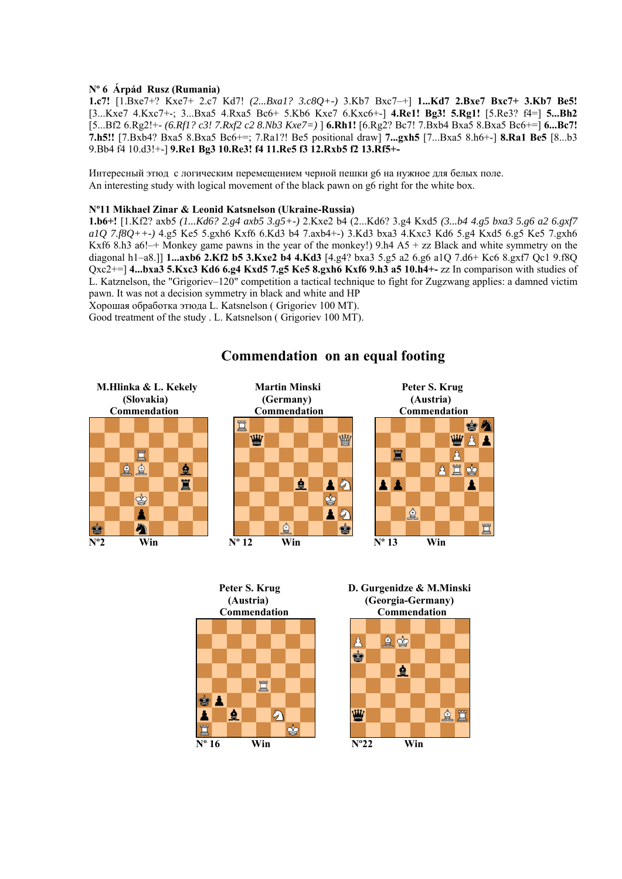### **Nº 6 Árpád Rusz (Rumania)**

**1.c7!** [1.Bxe7+? Kxe7+ 2.c7 Kd7! *(2...Bxa1? 3.c8Q+-)* 3.Kb7 Bxc7–+] **1...Kd7 2.Bxe7 Bxc7+ 3.Kb7 Be5!** [3...Kxe7 4.Kxc7+-; 3...Bxa5 4.Rxa5 Bc6+ 5.Kb6 Kxe7 6.Kxc6+-] **4.Re1! Bg3! 5.Rg1!** [5.Re3? f4=] **5...Bh2**  [5...Bf2 6.Rg2!+- *(6.Rf1? c3! 7.Rxf2 c2 8.Nb3 Kxe7=)* ] **6.Rh1!** [6.Rg2? Bc7! 7.Bxb4 Bxa5 8.Bxa5 Bc6+=] **6...Bc7! 7.h5!!** [7.Bxb4? Bxa5 8.Bxa5 Bc6+=; 7.Ra1?! Be5 positional draw] **7...gxh5** [7...Bxa5 8.h6+-] **8.Ra1 Be5** [8...b3 9.Bb4 f4 10.d3!+-] **9.Re1 Bg3 10.Re3! f4 11.Re5 f3 12.Rxb5 f2 13.Rf5+-**

Интересный этюд с логическим перемещением черной пешки g6 на нужное для белых поле. An interesting study with logical movement of the black pawn on g6 right for the white box.

#### **Nº11 Mikhael Zinar & Leonid Katsnelson (Ukraine-Russia)**

**1.b6+!** [1.Kf2? axb5 *(1...Kd6? 2.g4 axb5 3.g5+-)* 2.Kxe2 b4 (2...Kd6? 3.g4 Kxd5 *(3...b4 4.g5 bxa3 5.g6 a2 6.gxf7 a1Q 7.f8Q++-)* 4.g5 Ke5 5.gxh6 Kxf6 6.Kd3 b4 7.axb4+-) 3.Kd3 bxa3 4.Kxc3 Kd6 5.g4 Kxd5 6.g5 Ke5 7.gxh6 Kxf6 8.h3 a6!-+ Monkey game pawns in the year of the monkey!) 9.h4 A5 + zz Black and white symmetry on the diagonal h1–a8.]] **1...axb6 2.Kf2 b5 3.Kxe2 b4 4.Kd3** [4.g4? bxa3 5.g5 a2 6.g6 a1Q 7.d6+ Kc6 8.gxf7 Qc1 9.f8Q Qxc2+=] **4...bxa3 5.Kxc3 Kd6 6.g4 Kxd5 7.g5 Ke5 8.gxh6 Kxf6 9.h3 a5 10.h4+-** zz In comparison with studies of L. Katznelson, the "Grigoriev–120" competition a tactical technique to fight for Zugzwang applies: a damned victim pawn. It was not a decision symmetry in black and white and HP

Хорошая обработка этюда L. Katsnelson ( Grigoriev 100 MT).

Good treatment of the study . L. Katsnelson ( Grigoriev 100 MT).



# **Commendation on an equal footing**





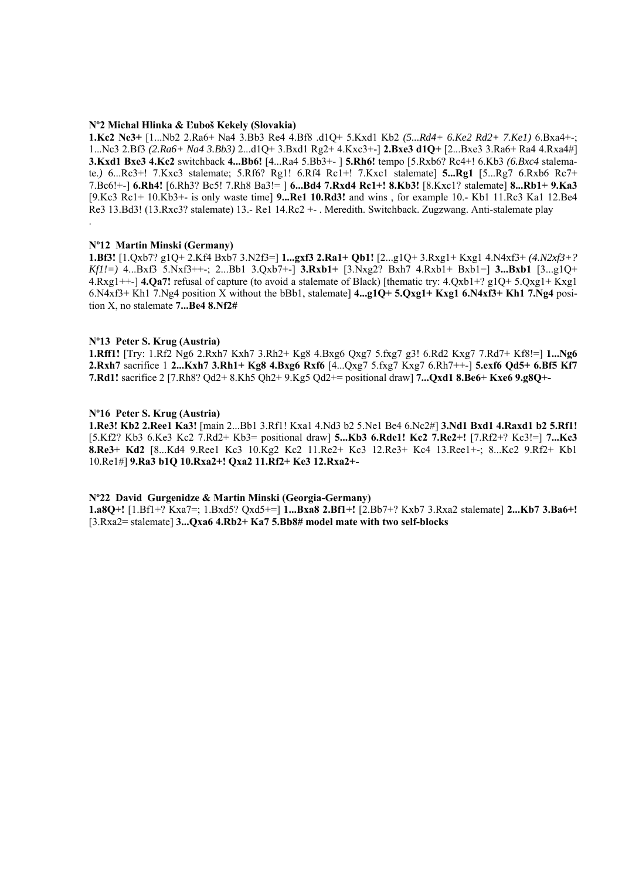#### **Nº2 Michal Hlinka & Ľuboš Kekely (Slovakia)**

**1.Kc2 Ne3+** [1...Nb2 2.Ra6+ Na4 3.Bb3 Re4 4.Bf8 .d1Q+ 5.Kxd1 Kb2 *(5...Rd4+ 6.Ke2 Rd2+ 7.Ke1)* 6.Bxa4+-; 1...Nc3 2.Bf3 *(2.Ra6+ Na4 3.Bb3)* 2...d1Q+ 3.Bxd1 Rg2+ 4.Kxc3+-] **2.Bxe3 d1Q+** [2...Bxe3 3.Ra6+ Ra4 4.Rxa4#] **3.Kxd1 Bxe3 4.Kc2** switchback **4...Bb6!** [4...Ra4 5.Bb3+- ] **5.Rh6!** tempo [5.Rxb6? Rc4+! 6.Kb3 *(6.Bxc4* stalemate.*)* 6...Rc3+! 7.Kxc3 stalemate; 5.Rf6? Rg1! 6.Rf4 Rc1+! 7.Kxc1 stalemate] **5...Rg1** [5...Rg7 6.Rxb6 Rc7+ 7.Bc6!+-] **6.Rh4!** [6.Rh3? Bc5! 7.Rh8 Ba3!= ] **6...Bd4 7.Rxd4 Rc1+! 8.Kb3!** [8.Kxc1? stalemate] **8...Rb1+ 9.Ka3** [9.Kc3 Rc1+ 10.Kb3+- is only waste time] **9...Re1 10.Rd3!** and wins , for example 10.- Kb1 11.Rc3 Ka1 12.Be4 Re3 13.Bd3! (13.Rxc3? stalemate) 13.- Re1 14.Rc2 +- . Meredith. Switchback. Zugzwang. Anti-stalemate play .

#### **Nº12 Martin Minski (Germany)**

**1.Bf3!** [1.Qxb7? g1Q+ 2.Kf4 Bxb7 3.N2f3=] **1...gxf3 2.Ra1+ Qb1!** [2...g1Q+ 3.Rxg1+ Kxg1 4.N4xf3+ *(4.N2xf3+? Kf1!=)* 4...Bxf3 5.Nxf3++-; 2...Bb1 3.Qxb7+-] **3.Rxb1+** [3.Nxg2? Bxh7 4.Rxb1+ Bxb1=] **3...Bxb1** [3...g1Q+ 4.Rxg1++-] **4.Qa7!** refusal of capture (to avoid a stalemate of Black) [thematic try: 4.Qxb1+? g1Q+ 5.Qxg1+ Kxg1 6.N4xf3+ Kh1 7.Ng4 position X without the bBb1, stalemate] **4...g1Q+ 5.Qxg1+ Kxg1 6.N4xf3+ Kh1 7.Ng4** position X, no stalemate **7...Be4 8.Nf2#** 

#### **Nº13 Peter S. Krug (Austria)**

**1.Rff1!** [Try: 1.Rf2 Ng6 2.Rxh7 Kxh7 3.Rh2+ Kg8 4.Bxg6 Qxg7 5.fxg7 g3! 6.Rd2 Kxg7 7.Rd7+ Kf8!=] **1...Ng6 2.Rxh7** sacrifice 1 **2...Kxh7 3.Rh1+ Kg8 4.Bxg6 Rxf6** [4...Qxg7 5.fxg7 Kxg7 6.Rh7++-] **5.exf6 Qd5+ 6.Bf5 Kf7 7.Rd1!** sacrifice 2 [7.Rh8? Qd2+ 8.Kh5 Qh2+ 9.Kg5 Qd2+= positional draw] **7...Qxd1 8.Be6+ Kxe6 9.g8Q+-** 

#### **Nº16 Peter S. Krug (Austria)**

**1.Re3! Kb2 2.Ree1 Ka3!** [main 2...Bb1 3.Rf1! Kxa1 4.Nd3 b2 5.Ne1 Be4 6.Nc2#] **3.Nd1 Bxd1 4.Raxd1 b2 5.Rf1!**  [5.Kf2? Kb3 6.Ke3 Kc2 7.Rd2+ Kb3= positional draw] **5...Kb3 6.Rde1! Kc2 7.Re2+!** [7.Rf2+? Kc3!=] **7...Kc3 8.Re3+ Kd2** [8...Kd4 9.Ree1 Kc3 10.Kg2 Kc2 11.Re2+ Kc3 12.Re3+ Kc4 13.Ree1+-; 8...Kc2 9.Rf2+ Kb1 10.Re1#] **9.Ra3 b1Q 10.Rxa2+! Qxa2 11.Rf2+ Ke3 12.Rxa2+-**

#### **Nº22 David Gurgenidze & Martin Minski (Georgia-Germany)**

**1.a8Q+!** [1.Bf1+? Kxa7=; 1.Bxd5? Qxd5+=] **1...Bxa8 2.Bf1+!** [2.Bb7+? Kxb7 3.Rxa2 stalemate] **2...Kb7 3.Ba6+!**  [3.Rxa2= stalemate] **3...Qxa6 4.Rb2+ Ka7 5.Bb8# model mate with two self-blocks**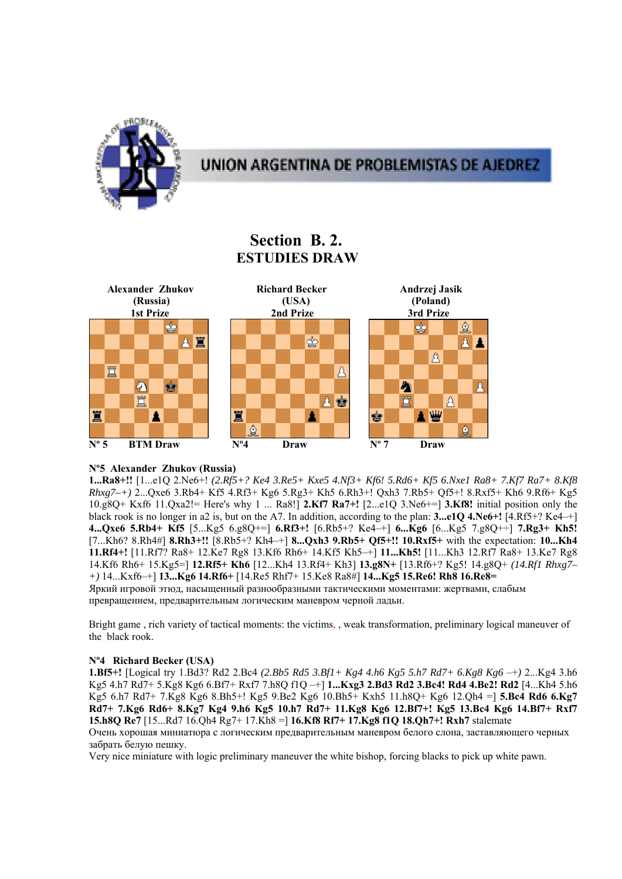

# **Section B. 2. ESTUDIES DRAW**



# **Nº5 Alexander Zhukov (Russia)**

**1...Ra8+!!** [1...e1Q 2.Ne6+! *(2.Rf5+? Ke4 3.Re5+ Kxe5 4.Nf3+ Kf6! 5.Rd6+ Kf5 6.Nxe1 Ra8+ 7.Kf7 Ra7+ 8.Kf8 Rhxg7–+)* 2...Qxe6 3.Rb4+ Kf5 4.Rf3+ Kg6 5.Rg3+ Kh5 6.Rh3+! Qxh3 7.Rb5+ Qf5+! 8.Rxf5+ Kh6 9.Rf6+ Kg5 10.g8Q+ Kxf6 11.Qxa2!= Here's why 1 ... Ra8!] **2.Kf7 Ra7+!** [2...e1Q 3.Ne6+=] **3.Kf8!** initial position only the black rook is no longer in a2 is, but on the A7. In addition, according to the plan: **3...e1Q 4.Ne6+!** [4.Rf5+? Ke4–+] **4...Qxe6 5.Rb4+ Kf5** [5...Kg5 6.g8Q+=] **6.Rf3+!** [6.Rb5+? Ke4–+] **6...Kg6** [6...Kg5 7.g8Q+÷] **7.Rg3+ Kh5!**  [7...Kh6? 8.Rh4#] **8.Rh3+!!** [8.Rb5+? Kh4–+] **8...Qxh3 9.Rb5+ Qf5+!! 10.Rxf5+** with the expectation: **10...Kh4 11.Rf4+!** [11.Rf7? Ra8+ 12.Ke7 Rg8 13.Kf6 Rh6+ 14.Kf5 Kh5–+] **11...Kh5!** [11...Kh3 12.Rf7 Ra8+ 13.Ke7 Rg8 14.Kf6 Rh6+ 15.Kg5=] **12.Rf5+ Kh6** [12...Kh4 13.Rf4+ Kh3] **13.g8N+** [13.Rf6+? Kg5! 14.g8Q+ *(14.Rf1 Rhxg7– +)* 14...Kxf6–+] **13...Kg6 14.Rf6+** [14.Re5 Rhf7+ 15.Ke8 Ra8#] **14...Kg5 15.Re6! Rh8 16.Re8=**  Яркий игровой этюд, насыщенный разнообразными тактическими моментами: жертвами, слабым превращением, предварительным логическим маневром черной ладьи.

Bright game , rich variety of tactical moments: the victims, , weak transformation, preliminary logical maneuver of the black rook.

# **Nº4 Richard Becker (USA)**

**1.Bf5+!** [Logical try 1.Bd3? Rd2 2.Bc4 *(2.Bb5 Rd5 3.Bf1+ Kg4 4.h6 Kg5 5.h7 Rd7+ 6.Kg8 Kg6* –+*)* 2...Kg4 3.h6 Kg5 4.h7 Rd7+ 5.Kg8 Kg6 6.Bf7+ Rxf7 7.h8Q f1Q –+] **1...Kxg3 2.Bd3 Rd2 3.Bc4! Rd4 4.Be2! Rd2** [4...Kh4 5.h6 Kg5 6.h7 Rd7+ 7.Kg8 Kg6 8.Bh5+! Kg5 9.Be2 Kg6 10.Bh5+ Kxh5 11.h8Q+ Kg6 12.Qh4 =] **5.Bc4 Rd6 6.Kg7 Rd7+ 7.Kg6 Rd6+ 8.Kg7 Kg4 9.h6 Kg5 10.h7 Rd7+ 11.Kg8 Kg6 12.Bf7+! Kg5 13.Bc4 Kg6 14.Bf7+ Rxf7 15.h8Q Re7** [15...Rd7 16.Qh4 Rg7+ 17.Kh8 =] **16.Kf8 Rf7+ 17.Kg8 f1Q 18.Qh7+! Rxh7** stalemate Очень хорошая миниатюра с логическим предварительным маневром белого слона, заставляющего черных забрать белую пешку.

Very nice miniature with logic preliminary maneuver the white bishop, forcing blacks to pick up white pawn.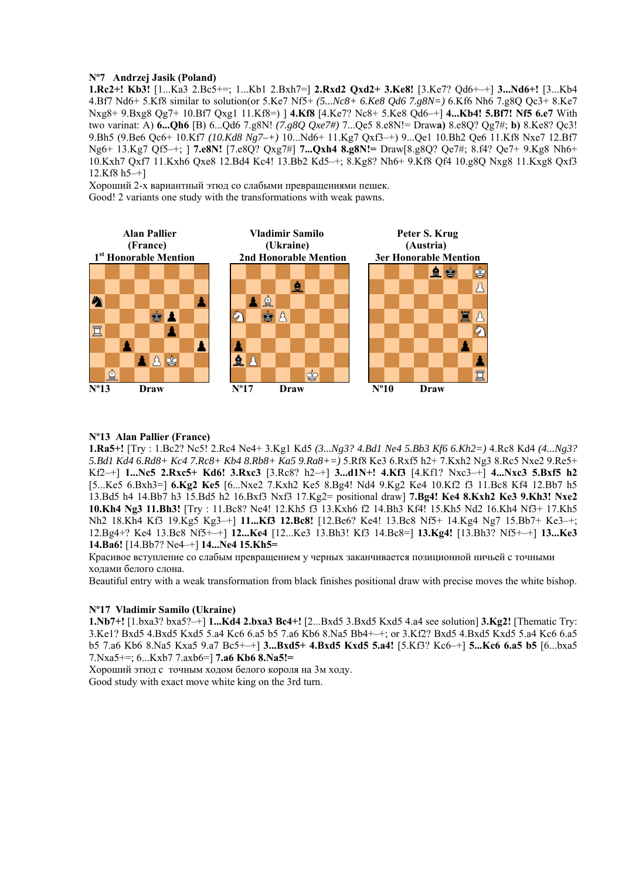## **Nº7 Andrzej Jasik (Poland)**

**1.Rc2+! Kb3!** [1...Ka3 2.Bc5+=; 1...Kb1 2.Bxh7=] **2.Rxd2 Qxd2+ 3.Ke8!** [3.Ke7? Qd6+–+] **3...Nd6+!** [3...Kb4 4.Bf7 Nd6+ 5.Kf8 similar to solution(or 5.Ke7 Nf5+ *(5...Nc8+ 6.Ke8 Qd6 7.g8N=)* 6.Kf6 Nh6 7.g8Q Qc3+ 8.Ke7 Nxg8+ 9.Bxg8 Qg7+ 10.Bf7 Qxg1 11.Kf8=) ] **4.Kf8** [4.Ke7? Nc8+ 5.Ke8 Qd6–+] **4...Kb4! 5.Bf7! Nf5 6.e7** With two varinat: A) **6...Qh6** [B) 6...Qd6 7.g8N! *(7.g8Q Qxe7#)* 7...Qe5 8.e8N!= Draw**a)** 8.e8Q? Qg7#; **b)** 8.Ke8? Qc3! 9.Bh5 (9.Be6 Qc6+ 10.Kf7 *(10.Kd8 Ng7–+)* 10...Nd6+ 11.Kg7 Qxf3–+) 9...Qe1 10.Bh2 Qe6 11.Kf8 Nxe7 12.Bf7 Ng6+ 13.Kg7 Qf5–+; ] **7.e8N!** [7.e8Q? Qxg7#] **7...Qxh4 8.g8N!=** Draw[8.g8Q? Qe7#; 8.f4? Qe7+ 9.Kg8 Nh6+ 10.Kxh7 Qxf7 11.Kxh6 Qxe8 12.Bd4 Kc4! 13.Bb2 Kd5–+; 8.Kg8? Nh6+ 9.Kf8 Qf4 10.g8Q Nxg8 11.Kxg8 Qxf3 12.Kf8 h5–+]

Хороший 2-х вариантный этюд со слабыми превращениями пешек. Good! 2 variants one study with the transformations with weak pawns.



### **Nº13 Alan Pallier (France)**

**1.Ra5+!** [Try : 1.Bc2? Nc5! 2.Rc4 Ne4+ 3.Kg1 Kd5 *(3...Ng3? 4.Bd1 Ne4 5.Bb3 Kf6 6.Kh2=)* 4.Rc8 Kd4 *(4...Ng3? 5.Bd1 Kd4 6.Rd8+ Kc4 7.Rc8+ Kb4 8.Rb8+ Ka5 9.Ra8+=)* 5.Rf8 Ke3 6.Rxf5 h2+ 7.Kxh2 Ng3 8.Rc5 Nxe2 9.Re5+ Kf2–+] **1...Nc5 2.Rxc5+ Kd6! 3.Rxc3** [3.Rc8? h2–+] **3...d1N+! 4.Kf3** [4.Kf1? Nxc3–+] **4...Nxc3 5.Bxf5 h2**  [5...Ke5 6.Bxh3=] **6.Kg2 Ke5** [6...Nxe2 7.Kxh2 Ke5 8.Bg4! Nd4 9.Kg2 Ke4 10.Kf2 f3 11.Bc8 Kf4 12.Bb7 h5 13.Bd5 h4 14.Bb7 h3 15.Bd5 h2 16.Bxf3 Nxf3 17.Kg2= positional draw] **7.Bg4! Ke4 8.Kxh2 Ke3 9.Kh3! Nxe2 10.Kh4 Ng3 11.Bh3!** [Try : 11.Bc8? Ne4! 12.Kh5 f3 13.Kxh6 f2 14.Bh3 Kf4! 15.Kh5 Nd2 16.Kh4 Nf3+ 17.Kh5 Nh2 18.Kh4 Kf3 19.Kg5 Kg3–+] **11...Kf3 12.Bc8!** [12.Be6? Ke4! 13.Bc8 Nf5+ 14.Kg4 Ng7 15.Bb7+ Ke3–+; 12.Bg4+? Ke4 13.Bc8 Nf5+–+] **12...Ke4** [12...Ke3 13.Bh3! Kf3 14.Bc8=] **13.Kg4!** [13.Bh3? Nf5+–+] **13...Ke3 14.Ba6!** [14.Bb7? Ne4–+] **14...Ne4 15.Kh5=**

Красивое вступление со слабым превращением у черных заканчивается позиционной ничьей с точными ходами белого слона.

Beautiful entry with a weak transformation from black finishes positional draw with precise moves the white bishop.

## **Nº17 Vladimir Samilo (Ukraine)**

**1.Nb7+!** [1.bxa3? bxa5?–+] **1...Kd4 2.bxa3 Bc4+!** [2...Bxd5 3.Bxd5 Kxd5 4.a4 see solution] **3.Kg2!** [Thematic Try: 3.Ke1? Bxd5 4.Bxd5 Kxd5 5.a4 Kc6 6.a5 b5 7.a6 Kb6 8.Na5 Bb4+–+; or 3.Kf2? Bxd5 4.Bxd5 Kxd5 5.a4 Kc6 6.a5 b5 7.a6 Kb6 8.Na5 Kxa5 9.a7 Bc5+–+] **3...Bxd5+ 4.Bxd5 Kxd5 5.a4!** [5.Kf3? Kc6–+] **5...Kc6 6.a5 b5** [6...bxa5 7.Nxa5+=; 6...Kxb7 7.axb6=] **7.a6 Kb6 8.Na5!=**

Хороший этюд с точным ходом белого короля на 3м ходу. Good study with exact move white king on the 3rd turn.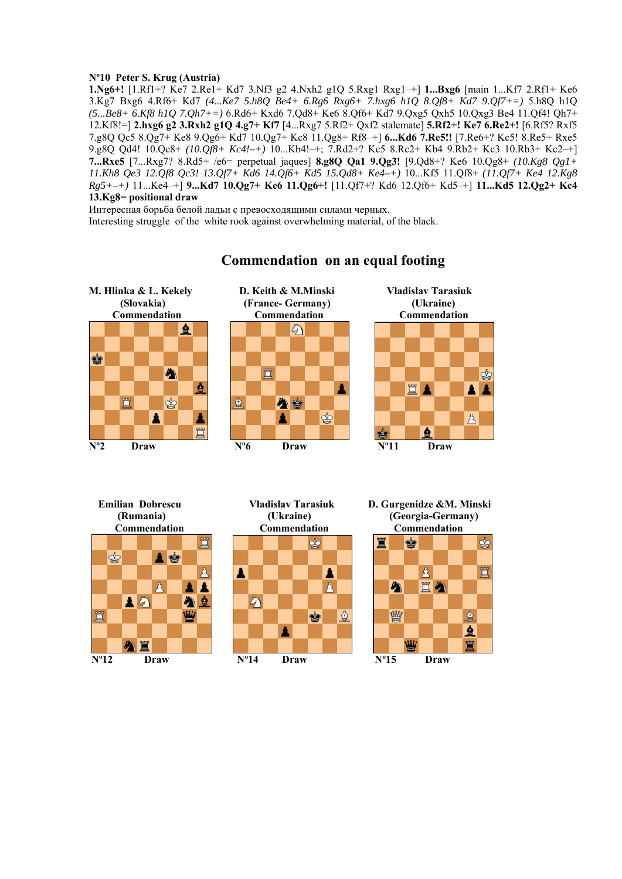## **Nº10 Peter S. Krug (Austria)**

**1.Ng6+!** [1.Rf1+? Ke7 2.Re1+ Kd7 3.Nf3 g2 4.Nxh2 g1Q 5.Rxg1 Rxg1–+] **1...Bxg6** [main 1...Kf7 2.Rf1+ Ke6 3.Kg7 Bxg6 4.Rf6+ Kd7 *(4...Ke7 5.h8Q Be4+ 6.Rg6 Rxg6+ 7.hxg6 h1Q 8.Qf8+ Kd7 9.Qf7+=)* 5.h8Q h1Q *(5...Be8+ 6.Kf8 h1Q 7.Qh7+=)* 6.Rd6+ Kxd6 7.Qd8+ Ke6 8.Qf6+ Kd7 9.Qxg5 Qxh5 10.Qxg3 Be4 11.Qf4! Qh7+ 12.Kf8!=] **2.hxg6 g2 3.Rxh2 g1Q 4.g7+ Kf7** [4...Rxg7 5.Rf2+ Qxf2 stalemate] **5.Rf2+! Ke7 6.Re2+!** [6.Rf5? Rxf5 7.g8Q Qc5 8.Qg7+ Ke8 9.Qg6+ Kd7 10.Qg7+ Kc8 11.Qg8+ Rf8–+] **6...Kd6 7.Re5!!** [7.Re6+? Kc5! 8.Re5+ Rxe5 9.g8Q Qd4! 10.Qc8+ *(10.Qf8+ Kc4!–+)* 10...Kb4!–+; 7.Rd2+? Kc5 8.Rc2+ Kb4 9.Rb2+ Kc3 10.Rb3+ Kc2–+] **7...Rxe5** [7...Rxg7? 8.Rd5+ /e6= perpetual jaques] **8.g8Q Qa1 9.Qg3!** [9.Qd8+? Ke6 10.Qg8+ *(10.Kg8 Qg1+ 11.Kh8 Qe3 12.Qf8 Qc3! 13.Qf7+ Kd6 14.Qf6+ Kd5 15.Qd8+ Ke4–+)* 10...Kf5 11.Qf8+ *(11.Qf7+ Ke4 12.Kg8 Rg5+–+)* 11...Ke4–+] **9...Kd7 10.Qg7+ Ke6 11.Qg6+!** [11.Qf7+? Kd6 12.Qf6+ Kd5–+] **11...Kd5 12.Qg2+ Kc4 13.Kg8= positional draw**

Интересная борьба белой ладьи с превосходящими силами черных. Interesting struggle of the white rook against overwhelming material, of the black.



# **Commendation on an equal footing**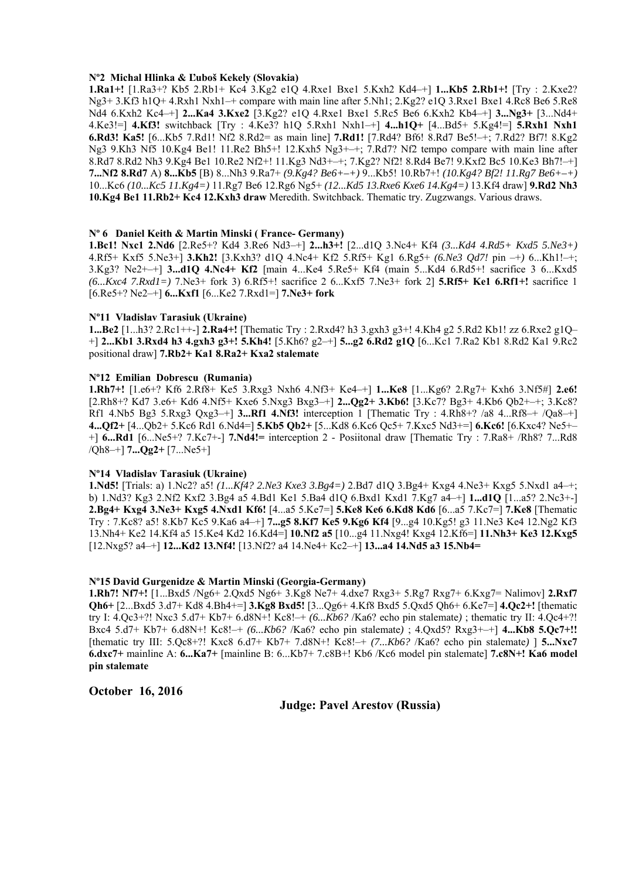### **Nº2 Michal Hlinka & Ľuboš Kekely (Slovakia)**

**1.Ra1+!** [1.Ra3+? Kb5 2.Rb1+ Kc4 3.Kg2 e1Q 4.Rxe1 Bxe1 5.Kxh2 Kd4–+] **1...Kb5 2.Rb1+!** [Try : 2.Kxe2? Ng3+ 3.Kf3 h1Q+ 4.Rxh1 Nxh1–+ compare with main line after 5.Nh1; 2.Kg2? e1Q 3.Rxe1 Bxe1 4.Rc8 Be6 5.Re8 Nd4 6.Kxh2 Kc4–+] **2...Ka4 3.Kxe2** [3.Kg2? e1Q 4.Rxe1 Bxe1 5.Rc5 Be6 6.Kxh2 Kb4–+] **3...Ng3+** [3...Nd4+ 4.Ke3!=] **4.Kf3!** switchback [Try : 4.Ke3? h1Q 5.Rxh1 Nxh1–+] **4...h1Q+** [4...Bd5+ 5.Kg4!=] **5.Rxh1 Nxh1 6.Rd3! Ka5!** [6...Kb5 7.Rd1! Nf2 8.Rd2= as main line] **7.Rd1!** [7.Rd4? Bf6! 8.Rd7 Be5!–+; 7.Rd2? Bf7! 8.Kg2 Ng3 9.Kh3 Nf5 10.Kg4 Be1! 11.Re2 Bh5+! 12.Kxh5 Ng3+–+; 7.Rd7? Nf2 tempo compare with main line after 8.Rd7 8.Rd2 Nh3 9.Kg4 Be1 10.Re2 Nf2+! 11.Kg3 Nd3+–+; 7.Kg2? Nf2! 8.Rd4 Be7! 9.Kxf2 Bc5 10.Ke3 Bh7!–+] **7...Nf2 8.Rd7** A) **8...Kb5** [B) 8...Nh3 9.Ra7+ *(9.Kg4? Be6+–+)* 9...Kb5! 10.Rb7+! *(10.Kg4? Bf2! 11.Rg7 Be6+–+)*  10...Kc6 *(10...Kc5 11.Kg4=)* 11.Rg7 Be6 12.Rg6 Ng5+ *(12...Kd5 13.Rxe6 Kxe6 14.Kg4=)* 13.Kf4 draw] **9.Rd2 Nh3 10.Kg4 Be1 11.Rb2+ Kc4 12.Kxh3 draw** Meredith. Switchback. Thematic try. Zugzwangs. Various draws.

#### **Nº 6 Daniel Keith & Martin Minski ( France- Germany)**

**1.Bc1! Nxc1 2.Nd6** [2.Re5+? Kd4 3.Re6 Nd3–+] **2...h3+!** [2...d1Q 3.Nc4+ Kf4 *(3...Kd4 4.Rd5+ Kxd5 5.Ne3+)* 4.Rf5+ Kxf5 5.Ne3+] **3.Kh2!** [3.Kxh3? d1Q 4.Nc4+ Kf2 5.Rf5+ Kg1 6.Rg5+ *(6.Ne3 Qd7!* pin –+*)* 6...Kh1!–+; 3.Kg3? Ne2+–+] **3...d1Q 4.Nc4+ Kf2** [main 4...Ke4 5.Re5+ Kf4 (main 5...Kd4 6.Rd5+! sacrifice 3 6...Kxd5 *(6...Kxc4 7.Rxd1=)* 7.Ne3+ fork 3) 6.Rf5+! sacrifice 2 6...Kxf5 7.Ne3+ fork 2] **5.Rf5+ Ke1 6.Rf1+!** sacrifice 1 [6.Re5+? Ne2–+] **6...Kxf1** [6...Ke2 7.Rxd1=] **7.Ne3+ fork**

### **Nº11 Vladislav Tarasiuk (Ukraine)**

**1...Be2** [1...h3? 2.Rc1++-] **2.Ra4+!** [Thematic Try : 2.Rxd4? h3 3.gxh3 g3+! 4.Kh4 g2 5.Rd2 Kb1! zz 6.Rxe2 g1Q– +] **2...Kb1 3.Rxd4 h3 4.gxh3 g3+! 5.Kh4!** [5.Kh6? g2–+] **5...g2 6.Rd2 g1Q** [6...Kc1 7.Ra2 Kb1 8.Rd2 Ka1 9.Rc2 positional draw] **7.Rb2+ Ka1 8.Ra2+ Kxa2 stalemate** 

### **Nº12 Emilian Dobrescu (Rumania)**

**1.Rh7+!** [1.e6+? Kf6 2.Rf8+ Ke5 3.Rxg3 Nxh6 4.Nf3+ Ke4–+] **1...Ke8** [1...Kg6? 2.Rg7+ Kxh6 3.Nf5#] **2.e6!**  [2.Rh8+? Kd7 3.e6+ Kd6 4.Nf5+ Kxe6 5.Nxg3 Bxg3–+] **2...Qg2+ 3.Kb6!** [3.Kc7? Bg3+ 4.Kb6 Qb2+–+; 3.Kc8? Rf1 4.Nb5 Bg3 5.Rxg3 Qxg3–+] **3...Rf1 4.Nf3!** interception 1 [Thematic Try : 4.Rh8+? /a8 4...Rf8–+ /Qa8–+] **4...Qf2+** [4...Qb2+ 5.Kc6 Rd1 6.Nd4=] **5.Kb5 Qb2+** [5...Kd8 6.Kc6 Qc5+ 7.Kxc5 Nd3+=] **6.Kc6!** [6.Kxc4? Ne5+– +] **6...Rd1** [6...Ne5+? 7.Kc7+-] **7.Nd4!=** interception 2 - Posiitonal draw [Thematic Try : 7.Ra8+ /Rh8? 7...Rd8 /Qh8–+] **7...Qg2+** [7...Ne5+]

#### **Nº14 Vladislav Tarasiuk (Ukraine)**

**1.Nd5!** [Trials: a) 1.Nc2? a5! *(1...Kf4? 2.Ne3 Kxe3 3.Bg4=)* 2.Bd7 d1Q 3.Bg4+ Kxg4 4.Ne3+ Kxg5 5.Nxd1 a4–+; b) 1.Nd3? Kg3 2.Nf2 Kxf2 3.Bg4 a5 4.Bd1 Ke1 5.Ba4 d1Q 6.Bxd1 Kxd1 7.Kg7 a4–+] **1...d1Q** [1...a5? 2.Nc3+-] **2.Bg4+ Kxg4 3.Ne3+ Kxg5 4.Nxd1 Kf6!** [4...a5 5.Ke7=] **5.Ke8 Ke6 6.Kd8 Kd6** [6...a5 7.Kc7=] **7.Ke8** [Thematic Try : 7.Kc8? a5! 8.Kb7 Kc5 9.Ka6 a4–+] **7...g5 8.Kf7 Ke5 9.Kg6 Kf4** [9...g4 10.Kg5! g3 11.Ne3 Ke4 12.Ng2 Kf3 13.Nh4+ Ke2 14.Kf4 a5 15.Ke4 Kd2 16.Kd4=] **10.Nf2 a5** [10...g4 11.Nxg4! Kxg4 12.Kf6=] **11.Nh3+ Ke3 12.Kxg5** [12.Nxg5? a4–+] **12...Kd2 13.Nf4!** [13.Nf2? a4 14.Ne4+ Kc2–+] **13...a4 14.Nd5 a3 15.Nb4=**

## **Nº15 David Gurgenidze & Martin Minski (Georgia-Germany)**

**1.Rh7! Nf7+!** [1...Bxd5 /Ng6+ 2.Qxd5 Ng6+ 3.Kg8 Ne7+ 4.dxe7 Rxg3+ 5.Rg7 Rxg7+ 6.Kxg7= Nalimov] **2.Rxf7 Qh6+** [2...Bxd5 3.d7+ Kd8 4.Bh4+=] **3.Kg8 Bxd5!** [3...Qg6+ 4.Kf8 Bxd5 5.Qxd5 Qh6+ 6.Ke7=] **4.Qc2+!** [thematic try I: 4.Qc3+?! Nxc3 5.d7+ Kb7+ 6.d8N+! Kc8!–+ *(6...Kb6?* /Ka6? echo pin stalemate*)* ; thematic try II: 4.Qc4+?! Bxc4 5.d7+ Kb7+ 6.d8N+! Kc8!–+ *(6...Kb6?* /Ka6? echo pin stalemate*)* ; 4.Qxd5? Rxg3+–+] **4...Kb8 5.Qc7+!!**  [thematic try III: 5.Qc8+?! Kxc8 6.d7+ Kb7+ 7.d8N+! Kc8!–+ *(7...Kb6?* /Ka6? echo pin stalemate*)* ] **5...Nxc7 6.dxc7+** mainline A: **6...Ka7+** [mainline B: 6...Kb7+ 7.c8B+! Kb6 /Kc6 model pin stalemate] **7.c8N+! Ka6 model pin stalemate** 

## **October 16, 2016**

**Judge: Pavel Arestov (Russia)**